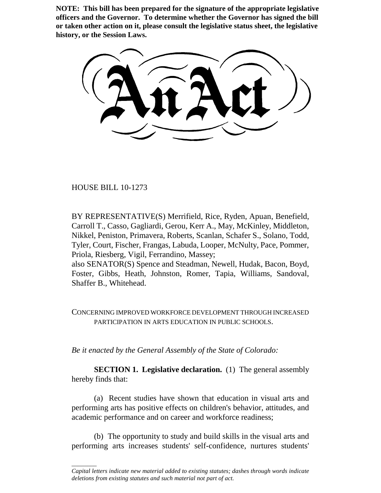**NOTE: This bill has been prepared for the signature of the appropriate legislative officers and the Governor. To determine whether the Governor has signed the bill or taken other action on it, please consult the legislative status sheet, the legislative history, or the Session Laws.**

HOUSE BILL 10-1273

\_\_\_\_\_\_\_\_

BY REPRESENTATIVE(S) Merrifield, Rice, Ryden, Apuan, Benefield, Carroll T., Casso, Gagliardi, Gerou, Kerr A., May, McKinley, Middleton, Nikkel, Peniston, Primavera, Roberts, Scanlan, Schafer S., Solano, Todd, Tyler, Court, Fischer, Frangas, Labuda, Looper, McNulty, Pace, Pommer, Priola, Riesberg, Vigil, Ferrandino, Massey;

also SENATOR(S) Spence and Steadman, Newell, Hudak, Bacon, Boyd, Foster, Gibbs, Heath, Johnston, Romer, Tapia, Williams, Sandoval, Shaffer B., Whitehead.

CONCERNING IMPROVED WORKFORCE DEVELOPMENT THROUGH INCREASED PARTICIPATION IN ARTS EDUCATION IN PUBLIC SCHOOLS.

*Be it enacted by the General Assembly of the State of Colorado:*

**SECTION 1. Legislative declaration.** (1) The general assembly hereby finds that:

(a) Recent studies have shown that education in visual arts and performing arts has positive effects on children's behavior, attitudes, and academic performance and on career and workforce readiness;

(b) The opportunity to study and build skills in the visual arts and performing arts increases students' self-confidence, nurtures students'

*Capital letters indicate new material added to existing statutes; dashes through words indicate deletions from existing statutes and such material not part of act.*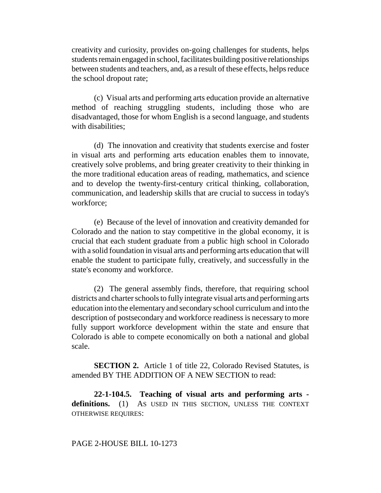creativity and curiosity, provides on-going challenges for students, helps students remain engaged in school, facilitates building positive relationships between students and teachers, and, as a result of these effects, helps reduce the school dropout rate;

(c) Visual arts and performing arts education provide an alternative method of reaching struggling students, including those who are disadvantaged, those for whom English is a second language, and students with disabilities:

(d) The innovation and creativity that students exercise and foster in visual arts and performing arts education enables them to innovate, creatively solve problems, and bring greater creativity to their thinking in the more traditional education areas of reading, mathematics, and science and to develop the twenty-first-century critical thinking, collaboration, communication, and leadership skills that are crucial to success in today's workforce;

(e) Because of the level of innovation and creativity demanded for Colorado and the nation to stay competitive in the global economy, it is crucial that each student graduate from a public high school in Colorado with a solid foundation in visual arts and performing arts education that will enable the student to participate fully, creatively, and successfully in the state's economy and workforce.

(2) The general assembly finds, therefore, that requiring school districts and charter schools to fully integrate visual arts and performing arts education into the elementary and secondary school curriculum and into the description of postsecondary and workforce readiness is necessary to more fully support workforce development within the state and ensure that Colorado is able to compete economically on both a national and global scale.

**SECTION 2.** Article 1 of title 22, Colorado Revised Statutes, is amended BY THE ADDITION OF A NEW SECTION to read:

**22-1-104.5. Teaching of visual arts and performing arts**  definitions. (1) AS USED IN THIS SECTION, UNLESS THE CONTEXT OTHERWISE REQUIRES:

## PAGE 2-HOUSE BILL 10-1273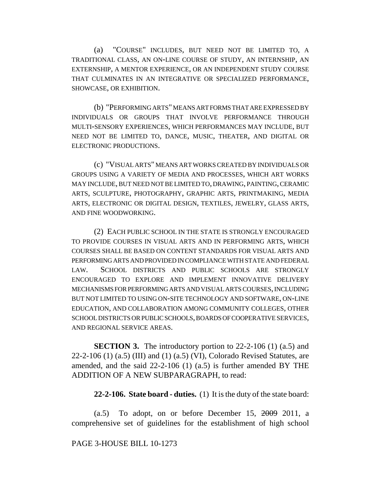(a) "COURSE" INCLUDES, BUT NEED NOT BE LIMITED TO, A TRADITIONAL CLASS, AN ON-LINE COURSE OF STUDY, AN INTERNSHIP, AN EXTERNSHIP, A MENTOR EXPERIENCE, OR AN INDEPENDENT STUDY COURSE THAT CULMINATES IN AN INTEGRATIVE OR SPECIALIZED PERFORMANCE, SHOWCASE, OR EXHIBITION.

(b) "PERFORMING ARTS" MEANS ART FORMS THAT ARE EXPRESSED BY INDIVIDUALS OR GROUPS THAT INVOLVE PERFORMANCE THROUGH MULTI-SENSORY EXPERIENCES, WHICH PERFORMANCES MAY INCLUDE, BUT NEED NOT BE LIMITED TO, DANCE, MUSIC, THEATER, AND DIGITAL OR ELECTRONIC PRODUCTIONS.

(c) "VISUAL ARTS" MEANS ART WORKS CREATED BY INDIVIDUALS OR GROUPS USING A VARIETY OF MEDIA AND PROCESSES, WHICH ART WORKS MAY INCLUDE, BUT NEED NOT BE LIMITED TO, DRAWING, PAINTING, CERAMIC ARTS, SCULPTURE, PHOTOGRAPHY, GRAPHIC ARTS, PRINTMAKING, MEDIA ARTS, ELECTRONIC OR DIGITAL DESIGN, TEXTILES, JEWELRY, GLASS ARTS, AND FINE WOODWORKING.

(2) EACH PUBLIC SCHOOL IN THE STATE IS STRONGLY ENCOURAGED TO PROVIDE COURSES IN VISUAL ARTS AND IN PERFORMING ARTS, WHICH COURSES SHALL BE BASED ON CONTENT STANDARDS FOR VISUAL ARTS AND PERFORMING ARTS AND PROVIDED IN COMPLIANCE WITH STATE AND FEDERAL LAW. SCHOOL DISTRICTS AND PUBLIC SCHOOLS ARE STRONGLY ENCOURAGED TO EXPLORE AND IMPLEMENT INNOVATIVE DELIVERY MECHANISMS FOR PERFORMING ARTS AND VISUAL ARTS COURSES, INCLUDING BUT NOT LIMITED TO USING ON-SITE TECHNOLOGY AND SOFTWARE, ON-LINE EDUCATION, AND COLLABORATION AMONG COMMUNITY COLLEGES, OTHER SCHOOL DISTRICTS OR PUBLIC SCHOOLS, BOARDS OF COOPERATIVE SERVICES, AND REGIONAL SERVICE AREAS.

**SECTION 3.** The introductory portion to 22-2-106 (1) (a.5) and  $22-2-106$  (1) (a.5) (III) and (1) (a.5) (VI), Colorado Revised Statutes, are amended, and the said 22-2-106 (1) (a.5) is further amended BY THE ADDITION OF A NEW SUBPARAGRAPH, to read:

**22-2-106. State board - duties.** (1) It is the duty of the state board:

(a.5) To adopt, on or before December 15,  $2009$  2011, a comprehensive set of guidelines for the establishment of high school

## PAGE 3-HOUSE BILL 10-1273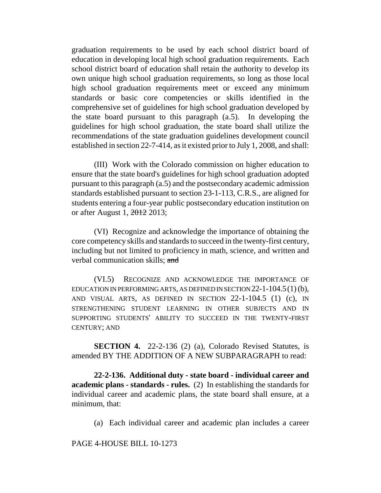graduation requirements to be used by each school district board of education in developing local high school graduation requirements. Each school district board of education shall retain the authority to develop its own unique high school graduation requirements, so long as those local high school graduation requirements meet or exceed any minimum standards or basic core competencies or skills identified in the comprehensive set of guidelines for high school graduation developed by the state board pursuant to this paragraph (a.5). In developing the guidelines for high school graduation, the state board shall utilize the recommendations of the state graduation guidelines development council established in section 22-7-414, as it existed prior to July 1, 2008, and shall:

(III) Work with the Colorado commission on higher education to ensure that the state board's guidelines for high school graduation adopted pursuant to this paragraph (a.5) and the postsecondary academic admission standards established pursuant to section 23-1-113, C.R.S., are aligned for students entering a four-year public postsecondary education institution on or after August 1, 2012 2013;

(VI) Recognize and acknowledge the importance of obtaining the core competency skills and standards to succeed in the twenty-first century, including but not limited to proficiency in math, science, and written and verbal communication skills; and

(VI.5) RECOGNIZE AND ACKNOWLEDGE THE IMPORTANCE OF EDUCATION IN PERFORMING ARTS, AS DEFINED IN SECTION 22-1-104.5(1) (b), AND VISUAL ARTS, AS DEFINED IN SECTION 22-1-104.5 (1) (c), IN STRENGTHENING STUDENT LEARNING IN OTHER SUBJECTS AND IN SUPPORTING STUDENTS' ABILITY TO SUCCEED IN THE TWENTY-FIRST CENTURY; AND

**SECTION 4.** 22-2-136 (2) (a), Colorado Revised Statutes, is amended BY THE ADDITION OF A NEW SUBPARAGRAPH to read:

**22-2-136. Additional duty - state board - individual career and academic plans - standards - rules.** (2) In establishing the standards for individual career and academic plans, the state board shall ensure, at a minimum, that:

(a) Each individual career and academic plan includes a career

PAGE 4-HOUSE BILL 10-1273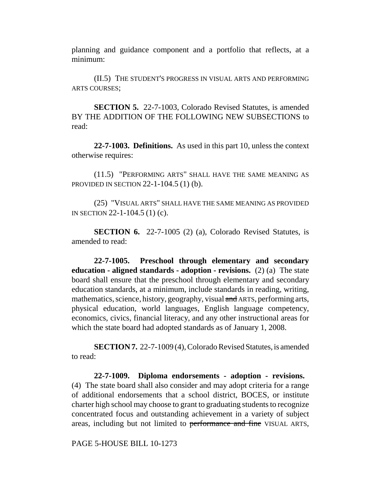planning and guidance component and a portfolio that reflects, at a minimum:

(II.5) THE STUDENT'S PROGRESS IN VISUAL ARTS AND PERFORMING ARTS COURSES;

**SECTION 5.** 22-7-1003, Colorado Revised Statutes, is amended BY THE ADDITION OF THE FOLLOWING NEW SUBSECTIONS to read:

**22-7-1003. Definitions.** As used in this part 10, unless the context otherwise requires:

(11.5) "PERFORMING ARTS" SHALL HAVE THE SAME MEANING AS PROVIDED IN SECTION 22-1-104.5 (1) (b).

(25) "VISUAL ARTS" SHALL HAVE THE SAME MEANING AS PROVIDED IN SECTION 22-1-104.5 (1) (c).

**SECTION 6.** 22-7-1005 (2) (a), Colorado Revised Statutes, is amended to read:

**22-7-1005. Preschool through elementary and secondary education - aligned standards - adoption - revisions.** (2) (a) The state board shall ensure that the preschool through elementary and secondary education standards, at a minimum, include standards in reading, writing, mathematics, science, history, geography, visual and ARTS, performing arts, physical education, world languages, English language competency, economics, civics, financial literacy, and any other instructional areas for which the state board had adopted standards as of January 1, 2008.

**SECTION 7.** 22-7-1009 (4), Colorado Revised Statutes, is amended to read:

**22-7-1009. Diploma endorsements - adoption - revisions.** (4) The state board shall also consider and may adopt criteria for a range of additional endorsements that a school district, BOCES, or institute charter high school may choose to grant to graduating students to recognize concentrated focus and outstanding achievement in a variety of subject areas, including but not limited to performance and fine VISUAL ARTS,

PAGE 5-HOUSE BILL 10-1273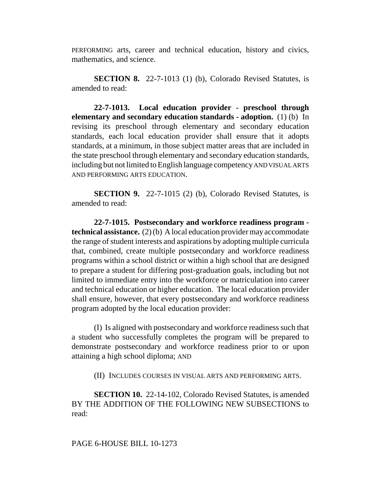PERFORMING arts, career and technical education, history and civics, mathematics, and science.

**SECTION 8.** 22-7-1013 (1) (b), Colorado Revised Statutes, is amended to read:

**22-7-1013. Local education provider - preschool through elementary and secondary education standards - adoption.** (1) (b) In revising its preschool through elementary and secondary education standards, each local education provider shall ensure that it adopts standards, at a minimum, in those subject matter areas that are included in the state preschool through elementary and secondary education standards, including but not limited to English language competency AND VISUAL ARTS AND PERFORMING ARTS EDUCATION.

**SECTION 9.** 22-7-1015 (2) (b), Colorado Revised Statutes, is amended to read:

**22-7-1015. Postsecondary and workforce readiness program technical assistance.** (2) (b) A local education provider may accommodate the range of student interests and aspirations by adopting multiple curricula that, combined, create multiple postsecondary and workforce readiness programs within a school district or within a high school that are designed to prepare a student for differing post-graduation goals, including but not limited to immediate entry into the workforce or matriculation into career and technical education or higher education. The local education provider shall ensure, however, that every postsecondary and workforce readiness program adopted by the local education provider:

(I) Is aligned with postsecondary and workforce readiness such that a student who successfully completes the program will be prepared to demonstrate postsecondary and workforce readiness prior to or upon attaining a high school diploma; AND

(II) INCLUDES COURSES IN VISUAL ARTS AND PERFORMING ARTS.

**SECTION 10.** 22-14-102, Colorado Revised Statutes, is amended BY THE ADDITION OF THE FOLLOWING NEW SUBSECTIONS to read: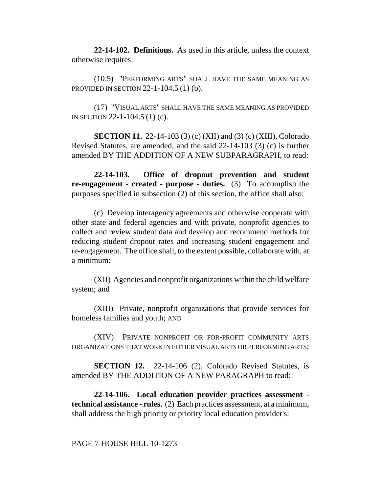**22-14-102. Definitions.** As used in this article, unless the context otherwise requires:

(10.5) "PERFORMING ARTS" SHALL HAVE THE SAME MEANING AS PROVIDED IN SECTION 22-1-104.5 (1) (b).

(17) "VISUAL ARTS" SHALL HAVE THE SAME MEANING AS PROVIDED IN SECTION 22-1-104.5 (1) (c).

**SECTION 11.** 22-14-103 (3) (c) (XII) and (3) (c) (XIII), Colorado Revised Statutes, are amended, and the said 22-14-103 (3) (c) is further amended BY THE ADDITION OF A NEW SUBPARAGRAPH, to read:

**22-14-103. Office of dropout prevention and student re-engagement - created - purpose - duties.** (3) To accomplish the purposes specified in subsection (2) of this section, the office shall also:

(c) Develop interagency agreements and otherwise cooperate with other state and federal agencies and with private, nonprofit agencies to collect and review student data and develop and recommend methods for reducing student dropout rates and increasing student engagement and re-engagement. The office shall, to the extent possible, collaborate with, at a minimum:

(XII) Agencies and nonprofit organizations within the child welfare system; and

(XIII) Private, nonprofit organizations that provide services for homeless families and youth; AND

(XIV) PRIVATE NONPROFIT OR FOR-PROFIT COMMUNITY ARTS ORGANIZATIONS THAT WORK IN EITHER VISUAL ARTS OR PERFORMING ARTS;

**SECTION 12.** 22-14-106 (2), Colorado Revised Statutes, is amended BY THE ADDITION OF A NEW PARAGRAPH to read:

**22-14-106. Local education provider practices assessment technical assistance - rules.** (2) Each practices assessment, at a minimum, shall address the high priority or priority local education provider's:

PAGE 7-HOUSE BILL 10-1273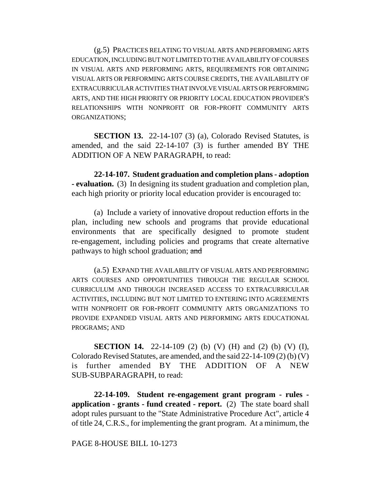(g.5) PRACTICES RELATING TO VISUAL ARTS AND PERFORMING ARTS EDUCATION, INCLUDING BUT NOT LIMITED TO THE AVAILABILITY OF COURSES IN VISUAL ARTS AND PERFORMING ARTS, REQUIREMENTS FOR OBTAINING VISUAL ARTS OR PERFORMING ARTS COURSE CREDITS, THE AVAILABILITY OF EXTRACURRICULAR ACTIVITIES THAT INVOLVE VISUAL ARTS OR PERFORMING ARTS, AND THE HIGH PRIORITY OR PRIORITY LOCAL EDUCATION PROVIDER'S RELATIONSHIPS WITH NONPROFIT OR FOR-PROFIT COMMUNITY ARTS ORGANIZATIONS;

**SECTION 13.** 22-14-107 (3) (a), Colorado Revised Statutes, is amended, and the said 22-14-107 (3) is further amended BY THE ADDITION OF A NEW PARAGRAPH, to read:

**22-14-107. Student graduation and completion plans - adoption - evaluation.** (3) In designing its student graduation and completion plan, each high priority or priority local education provider is encouraged to:

(a) Include a variety of innovative dropout reduction efforts in the plan, including new schools and programs that provide educational environments that are specifically designed to promote student re-engagement, including policies and programs that create alternative pathways to high school graduation; and

(a.5) EXPAND THE AVAILABILITY OF VISUAL ARTS AND PERFORMING ARTS COURSES AND OPPORTUNITIES THROUGH THE REGULAR SCHOOL CURRICULUM AND THROUGH INCREASED ACCESS TO EXTRACURRICULAR ACTIVITIES, INCLUDING BUT NOT LIMITED TO ENTERING INTO AGREEMENTS WITH NONPROFIT OR FOR-PROFIT COMMUNITY ARTS ORGANIZATIONS TO PROVIDE EXPANDED VISUAL ARTS AND PERFORMING ARTS EDUCATIONAL PROGRAMS; AND

**SECTION 14.** 22-14-109 (2) (b) (V) (H) and (2) (b) (V) (I), Colorado Revised Statutes, are amended, and the said 22-14-109 (2) (b) (V) is further amended BY THE ADDITION OF A NEW SUB-SUBPARAGRAPH, to read:

**22-14-109. Student re-engagement grant program - rules application - grants - fund created - report.** (2) The state board shall adopt rules pursuant to the "State Administrative Procedure Act", article 4 of title 24, C.R.S., for implementing the grant program. At a minimum, the

## PAGE 8-HOUSE BILL 10-1273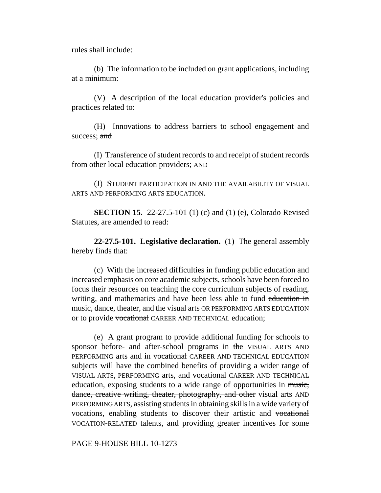rules shall include:

(b) The information to be included on grant applications, including at a minimum:

(V) A description of the local education provider's policies and practices related to:

(H) Innovations to address barriers to school engagement and success; and

(I) Transference of student records to and receipt of student records from other local education providers; AND

(J) STUDENT PARTICIPATION IN AND THE AVAILABILITY OF VISUAL ARTS AND PERFORMING ARTS EDUCATION.

**SECTION 15.** 22-27.5-101 (1) (c) and (1) (e), Colorado Revised Statutes, are amended to read:

**22-27.5-101. Legislative declaration.** (1) The general assembly hereby finds that:

(c) With the increased difficulties in funding public education and increased emphasis on core academic subjects, schools have been forced to focus their resources on teaching the core curriculum subjects of reading, writing, and mathematics and have been less able to fund education in music, dance, theater, and the visual arts OR PERFORMING ARTS EDUCATION or to provide vocational CAREER AND TECHNICAL education;

(e) A grant program to provide additional funding for schools to sponsor before- and after-school programs in the VISUAL ARTS AND PERFORMING arts and in vocational CAREER AND TECHNICAL EDUCATION subjects will have the combined benefits of providing a wider range of VISUAL ARTS, PERFORMING arts, and vocational CAREER AND TECHNICAL education, exposing students to a wide range of opportunities in music, dance, creative writing, theater, photography, and other visual arts AND PERFORMING ARTS, assisting students in obtaining skills in a wide variety of vocations, enabling students to discover their artistic and vocational VOCATION-RELATED talents, and providing greater incentives for some

PAGE 9-HOUSE BILL 10-1273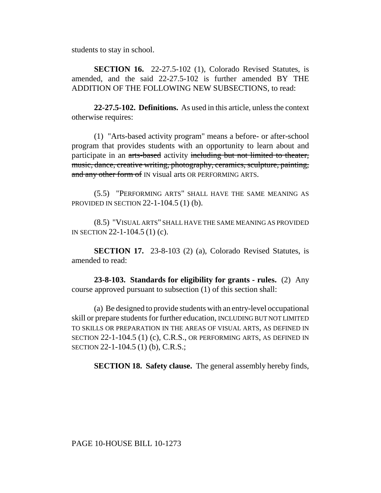students to stay in school.

**SECTION 16.** 22-27.5-102 (1), Colorado Revised Statutes, is amended, and the said 22-27.5-102 is further amended BY THE ADDITION OF THE FOLLOWING NEW SUBSECTIONS, to read:

**22-27.5-102. Definitions.** As used in this article, unless the context otherwise requires:

(1) "Arts-based activity program" means a before- or after-school program that provides students with an opportunity to learn about and participate in an arts-based activity including but not limited to theater, music, dance, creative writing, photography, ceramics, sculpture, painting, and any other form of IN visual arts OR PERFORMING ARTS.

(5.5) "PERFORMING ARTS" SHALL HAVE THE SAME MEANING AS PROVIDED IN SECTION 22-1-104.5 (1) (b).

(8.5) "VISUAL ARTS" SHALL HAVE THE SAME MEANING AS PROVIDED IN SECTION 22-1-104.5 (1) (c).

**SECTION 17.** 23-8-103 (2) (a), Colorado Revised Statutes, is amended to read:

**23-8-103. Standards for eligibility for grants - rules.** (2) Any course approved pursuant to subsection (1) of this section shall:

(a) Be designed to provide students with an entry-level occupational skill or prepare students for further education, INCLUDING BUT NOT LIMITED TO SKILLS OR PREPARATION IN THE AREAS OF VISUAL ARTS, AS DEFINED IN SECTION 22-1-104.5 (1) (c), C.R.S., OR PERFORMING ARTS, AS DEFINED IN SECTION 22-1-104.5 (1) (b), C.R.S.;

**SECTION 18. Safety clause.** The general assembly hereby finds,